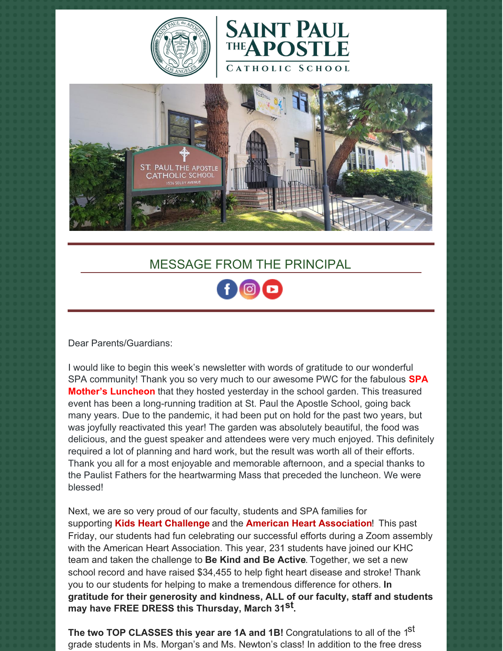





## MESSAGE FROM THE PRINCIPAL

Dear Parents/Guardians:

I would like to begin this week's newsletter with words of gratitude to our wonderful SPA community! Thank you so very much to our awesome PWC for the fabulous **SPA Mother's Luncheon** that they hosted yesterday in the school garden. This treasured event has been a long-running tradition at St. Paul the Apostle School, going back many years. Due to the pandemic, it had been put on hold for the past two years, but was joyfully reactivated this year! The garden was absolutely beautiful, the food was delicious, and the guest speaker and attendees were very much enjoyed. This definitely required a lot of planning and hard work, but the result was worth all of their efforts. Thank you all for a most enjoyable and memorable afternoon, and a special thanks to the Paulist Fathers for the heartwarming Mass that preceded the luncheon. We were blessed!

Next, we are so very proud of our faculty, students and SPA families for supporting **Kids Heart Challenge** and the **American Heart Association**! This past Friday, our students had fun celebrating our successful efforts during a Zoom assembly with the American Heart Association. This year, 231 students have joined our KHC team and taken the challenge to **Be Kind and Be Active**. Together, we set a new school record and have raised \$34,455 to help fight heart disease and stroke! Thank you to our students for helping to make a tremendous difference for others. **In gratitude for their generosity and kindness, ALL of our faculty, staff and students may have FREE DRESS this Thursday, March 31 st .**

**The two TOP CLASSES this year are 1A and 1B!** Congratulations to all of the 1 st grade students in Ms. Morgan's and Ms. Newton's class! In addition to the free dress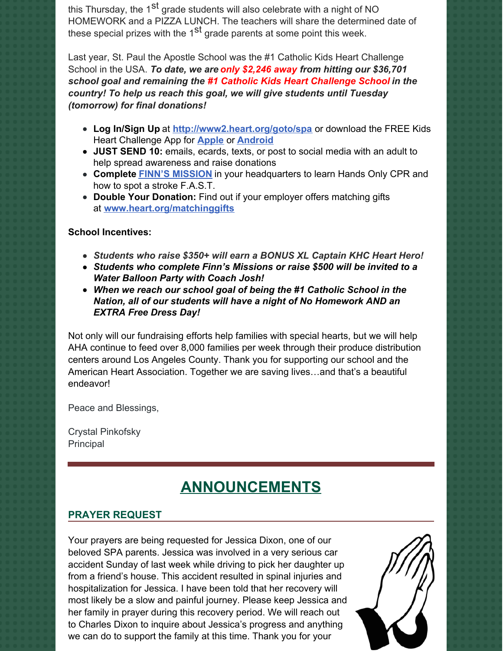this Thursday, the 1<sup>st</sup> grade students will also celebrate with a night of NO HOMEWORK and a PIZZA LUNCH. The teachers will share the determined date of these special prizes with the 1<sup>st</sup> grade parents at some point this week.

Last year, St. Paul the Apostle School was the #1 Catholic Kids Heart Challenge School in the USA. *To date, we are only \$2,246 away from hitting our \$36,701 school goal and remaining the #1 Catholic Kids Heart Challenge School in the country! To help us reach this goal, we will give students until Tuesday (tomorrow) for final donations!*

- **Log In/Sign Up** at **<http://www2.heart.org/goto/spa>** or download the FREE Kids Heart Challenge App for **[Apple](https://nam11.safelinks.protection.outlook.com/?url=https%3A%2F%2Fitunes.apple.com%2Fus%2Fapp%2Fjump-hoops%2Fid548389448%3Fmt%3D8&data=04%7C01%7Ckatie.martin%40heart.org%7C53b4d669f49c4d4528f508d9e755389c%7Cceab0fb5f7ff48b4a0d09f76ef96ecf9%7C0%7C0%7C637795175498408840%7CUnknown%7CTWFpbGZsb3d8eyJWIjoiMC4wLjAwMDAiLCJQIjoiV2luMzIiLCJBTiI6Ik1haWwiLCJXVCI6Mn0%3D%7C3000&sdata=grFMsnlZUz%2F81JiGCrgOR3WxL7KFUEFAApPFsklSWkA%3D&reserved=0)** or **[Android](https://nam11.safelinks.protection.outlook.com/?url=https%3A%2F%2Fplay.google.com%2Fstore%2Fapps%2Fdetails%3Fid%3Dcom.aha_jump.android.communicator%26hl%3Den&data=04%7C01%7Ckatie.martin%40heart.org%7C53b4d669f49c4d4528f508d9e755389c%7Cceab0fb5f7ff48b4a0d09f76ef96ecf9%7C0%7C0%7C637795175498408840%7CUnknown%7CTWFpbGZsb3d8eyJWIjoiMC4wLjAwMDAiLCJQIjoiV2luMzIiLCJBTiI6Ik1haWwiLCJXVCI6Mn0%3D%7C3000&sdata=C0U%2FKEjhlQ61TdWJG1eM%2Fly6KAtM7g9RafKpZOz9PH4%3D&reserved=0)**
- **JUST SEND 10:** emails, ecards, texts, or post to social media with an adult to help spread awareness and raise donations
- **Complete FINN'S [MISSION](https://nam11.safelinks.protection.outlook.com/?url=https%3A%2F%2Fwww.youtube.com%2Fwatch%3Fv%3Dl_kOvZDYsdU&data=04%7C01%7Ckatie.martin%40heart.org%7C53b4d669f49c4d4528f508d9e755389c%7Cceab0fb5f7ff48b4a0d09f76ef96ecf9%7C0%7C0%7C637795175498408840%7CUnknown%7CTWFpbGZsb3d8eyJWIjoiMC4wLjAwMDAiLCJQIjoiV2luMzIiLCJBTiI6Ik1haWwiLCJXVCI6Mn0%3D%7C3000&sdata=DEom2zsYix0XLt5vSbPuUriKdkjCQOaGq1vMD25Ze%2FM%3D&reserved=0)** in your headquarters to learn Hands Only CPR and how to spot a stroke F.A.S.T.
- **Double Your Donation:** Find out if your employer offers matching gifts at **[www.heart.org/matchinggifts](https://nam11.safelinks.protection.outlook.com/?url=http%3A%2F%2Fwww.heart.org%2Fmatchinggifts&data=04%7C01%7Ckatie.martin%40heart.org%7C066c8a5ca71d4eaf264608d9f1733ca6%7Cceab0fb5f7ff48b4a0d09f76ef96ecf9%7C0%7C0%7C637806299526485763%7CUnknown%7CTWFpbGZsb3d8eyJWIjoiMC4wLjAwMDAiLCJQIjoiV2luMzIiLCJBTiI6Ik1haWwiLCJXVCI6Mn0%3D%7C3000&sdata=bV2sOqDR1h3ytGdd6JqFaCIQ0jrq0pOKdHaXdJxUdZc%3D&reserved=0)**

#### **School Incentives:**

- *Students who raise \$350+ will earn a BONUS XL Captain KHC Heart Hero!*
- *Students who complete Finn's Missions or raise \$500 will be invited to a Water Balloon Party with Coach Josh!*
- *When we reach our school goal of being the #1 Catholic School in the Nation, all of our students will have a night of No Homework AND an EXTRA Free Dress Day!*

Not only will our fundraising efforts help families with special hearts, but we will help AHA continue to feed over 8,000 families per week through their produce distribution centers around Los Angeles County. Thank you for supporting our school and the American Heart Association. Together we are saving lives…and that's a beautiful endeavor!

Peace and Blessings,

Crystal Pinkofsky Principal

# **ANNOUNCEMENTS**

## **PRAYER REQUEST**

Your prayers are being requested for Jessica Dixon, one of our beloved SPA parents. Jessica was involved in a very serious car accident Sunday of last week while driving to pick her daughter up from a friend's house. This accident resulted in spinal injuries and hospitalization for Jessica. I have been told that her recovery will most likely be a slow and painful journey. Please keep Jessica and her family in prayer during this recovery period. We will reach out to Charles Dixon to inquire about Jessica's progress and anything we can do to support the family at this time. Thank you for your

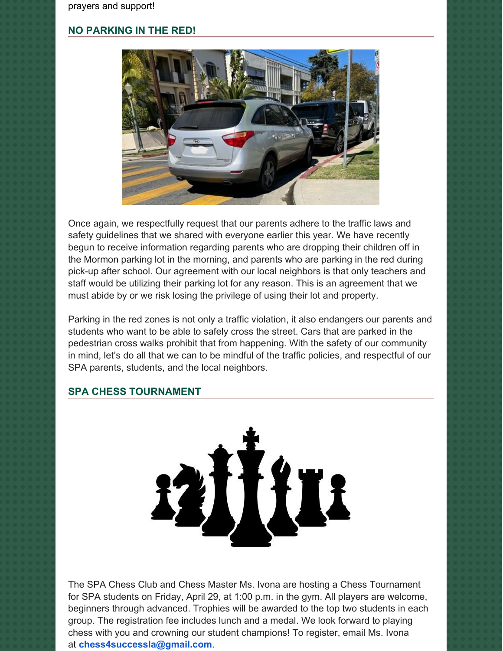## **NO PARKING IN THE RED!**



Once again, we respectfully request that our parents adhere to the traffic laws and safety guidelines that we shared with everyone earlier this year. We have recently begun to receive information regarding parents who are dropping their children off in the Mormon parking lot in the morning, and parents who are parking in the red during pick-up after school. Our agreement with our local neighbors is that only teachers and staff would be utilizing their parking lot for any reason. This is an agreement that we must abide by or we risk losing the privilege of using their lot and property.

Parking in the red zones is not only a traffic violation, it also endangers our parents and students who want to be able to safely cross the street. Cars that are parked in the pedestrian cross walks prohibit that from happening. With the safety of our community in mind, let's do all that we can to be mindful of the traffic policies, and respectful of our SPA parents, students, and the local neighbors.

### **SPA CHESS TOURNAMENT**



The SPA Chess Club and Chess Master Ms. Ivona are hosting a Chess Tournament for SPA students on Friday, April 29, at 1:00 p.m. in the gym. All players are welcome, beginners through advanced. Trophies will be awarded to the top two students in each group. The registration fee includes lunch and a medal. We look forward to playing chess with you and crowning our student champions! To register, email Ms. Ivona at **[chess4successla@gmail.com](mailto:chess4successla@gmail.com)**.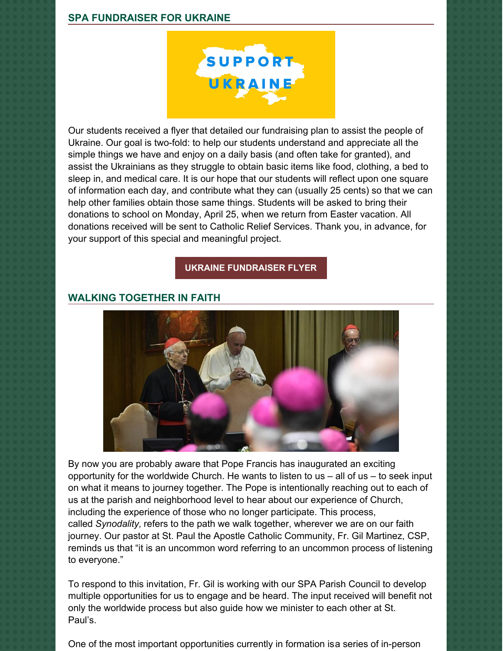

Our students received a flyer that detailed our fundraising plan to assist the people of Ukraine. Our goal is two-fold: to help our students understand and appreciate all the simple things we have and enjoy on a daily basis (and often take for granted), and assist the Ukrainians as they struggle to obtain basic items like food, clothing, a bed to sleep in, and medical care. It is our hope that our students will reflect upon one square of information each day, and contribute what they can (usually 25 cents) so that we can help other families obtain those same things. Students will be asked to bring their donations to school on Monday, April 25, when we return from Easter vacation. All donations received will be sent to Catholic Relief Services. Thank you, in advance, for your support of this special and meaningful project.

#### **UKRAINE [FUNDRAISER](https://school.sp-apostle.org/wp-content/uploads/2022/03/I-Am-Blessed-Ukraine-Fundraiser.pdf) FLYER**

#### **WALKING TOGETHER IN FAITH**



By now you are probably aware that Pope Francis has inaugurated an exciting opportunity for the worldwide Church. He wants to listen to us  $-$  all of us  $-$  to seek input on what it means to journey together. The Pope is intentionally reaching out to each of us at the parish and neighborhood level to hear about our experience of Church, including the experience of those who no longer participate. This process, called *Synodality,* refers to the path we walk together, wherever we are on our faith journey. Our pastor at St. Paul the Apostle Catholic Community, Fr. Gil Martinez, CSP, reminds us that "it is an uncommon word referring to an uncommon process of listening to everyone."

To respond to this invitation, Fr. Gil is working with our SPA Parish Council to develop multiple opportunities for us to engage and be heard. The input received will benefit not only the worldwide process but also guide how we minister to each other at St. Paul's.

One of the most important opportunities currently in formation isa series of in-person